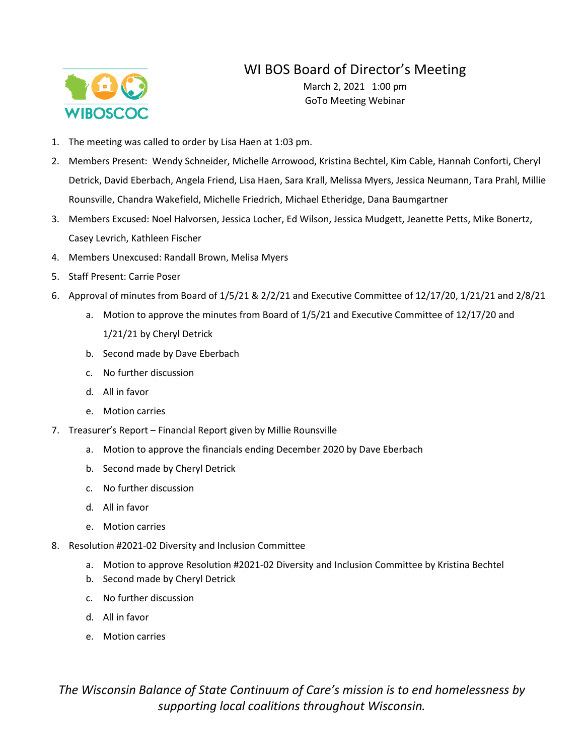## WI BOS Board of Director's Meeting



March 2, 2021 1:00 pm GoTo Meeting Webinar

- 1. The meeting was called to order by Lisa Haen at 1:03 pm.
- 2. Members Present: Wendy Schneider, Michelle Arrowood, Kristina Bechtel, Kim Cable, Hannah Conforti, Cheryl Detrick, David Eberbach, Angela Friend, Lisa Haen, Sara Krall, Melissa Myers, Jessica Neumann, Tara Prahl, Millie Rounsville, Chandra Wakefield, Michelle Friedrich, Michael Etheridge, Dana Baumgartner
- 3. Members Excused: Noel Halvorsen, Jessica Locher, Ed Wilson, Jessica Mudgett, Jeanette Petts, Mike Bonertz, Casey Levrich, Kathleen Fischer
- 4. Members Unexcused: Randall Brown, Melisa Myers
- 5. Staff Present: Carrie Poser
- 6. Approval of minutes from Board of 1/5/21 & 2/2/21 and Executive Committee of 12/17/20, 1/21/21 and 2/8/21
	- a. Motion to approve the minutes from Board of 1/5/21 and Executive Committee of 12/17/20 and 1/21/21 by Cheryl Detrick
	- b. Second made by Dave Eberbach
	- c. No further discussion
	- d. All in favor
	- e. Motion carries
- 7. Treasurer's Report Financial Report given by Millie Rounsville
	- a. Motion to approve the financials ending December 2020 by Dave Eberbach
	- b. Second made by Cheryl Detrick
	- c. No further discussion
	- d. All in favor
	- e. Motion carries
- 8. Resolution #2021-02 Diversity and Inclusion Committee
	- a. Motion to approve Resolution #2021-02 Diversity and Inclusion Committee by Kristina Bechtel
	- b. Second made by Cheryl Detrick
	- c. No further discussion
	- d. All in favor
	- e. Motion carries

*The Wisconsin Balance of State Continuum of Care's mission is to end homelessness by supporting local coalitions throughout Wisconsin.*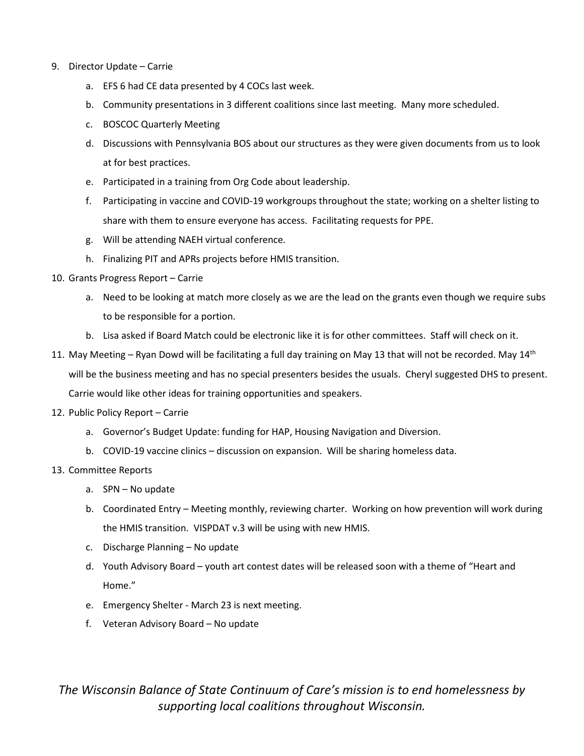- 9. Director Update Carrie
	- a. EFS 6 had CE data presented by 4 COCs last week.
	- b. Community presentations in 3 different coalitions since last meeting. Many more scheduled.
	- c. BOSCOC Quarterly Meeting
	- d. Discussions with Pennsylvania BOS about our structures as they were given documents from us to look at for best practices.
	- e. Participated in a training from Org Code about leadership.
	- f. Participating in vaccine and COVID-19 workgroups throughout the state; working on a shelter listing to share with them to ensure everyone has access. Facilitating requests for PPE.
	- g. Will be attending NAEH virtual conference.
	- h. Finalizing PIT and APRs projects before HMIS transition.
- 10. Grants Progress Report Carrie
	- a. Need to be looking at match more closely as we are the lead on the grants even though we require subs to be responsible for a portion.
	- b. Lisa asked if Board Match could be electronic like it is for other committees. Staff will check on it.
- 11. May Meeting Ryan Dowd will be facilitating a full day training on May 13 that will not be recorded. May  $14<sup>th</sup>$ will be the business meeting and has no special presenters besides the usuals. Cheryl suggested DHS to present. Carrie would like other ideas for training opportunities and speakers.
- 12. Public Policy Report Carrie
	- a. Governor's Budget Update: funding for HAP, Housing Navigation and Diversion.
	- b. COVID-19 vaccine clinics discussion on expansion. Will be sharing homeless data.
- 13. Committee Reports
	- a. SPN No update
	- b. Coordinated Entry Meeting monthly, reviewing charter. Working on how prevention will work during the HMIS transition. VISPDAT v.3 will be using with new HMIS.
	- c. Discharge Planning No update
	- d. Youth Advisory Board youth art contest dates will be released soon with a theme of "Heart and Home."
	- e. Emergency Shelter March 23 is next meeting.
	- f. Veteran Advisory Board No update

*The Wisconsin Balance of State Continuum of Care's mission is to end homelessness by supporting local coalitions throughout Wisconsin.*